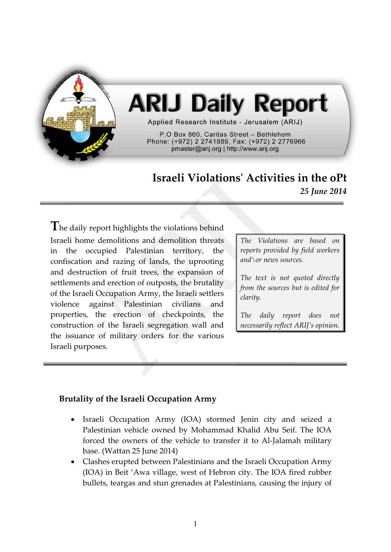

# **ARIJ Daily Report**

Applied Research Institute - Jerusalem (ARIJ)

P.O Box 860. Caritas Street - Bethlehem Phone: (+972) 2 2741889, Fax: (+972) 2 2776966 pmaster@arij.org | http://www.arij.org

# **Israeli Violations' Activities in the oPt** *25 June 2014*

**T**he daily report highlights the violations behind Israeli home demolitions and demolition threats in the occupied Palestinian territory, the confiscation and razing of lands, the uprooting and destruction of fruit trees, the expansion of settlements and erection of outposts, the brutality of the Israeli Occupation Army, the Israeli settlers violence against Palestinian civilians and properties, the erection of checkpoints, the construction of the Israeli segregation wall and the issuance of military orders for the various Israeli purposes.

*The Violations are based on reports provided by field workers and\or news sources.*

*The text is not quoted directly from the sources but is edited for clarity.*

*The daily report does not necessarily reflect ARIJ's opinion.*

## **Brutality of the Israeli Occupation Army**

- Israeli Occupation Army (IOA) stormed Jenin city and seized a Palestinian vehicle owned by Mohammad Khalid Abu Seif. The IOA forced the owners of the vehicle to transfer it to Al-Jalamah military base. (Wattan 25 June 2014)
- Clashes erupted between Palestinians and the Israeli Occupation Army (IOA) in Beit 'Awa village, west of Hebron city. The IOA fired rubber bullets, teargas and stun grenades at Palestinians, causing the injury of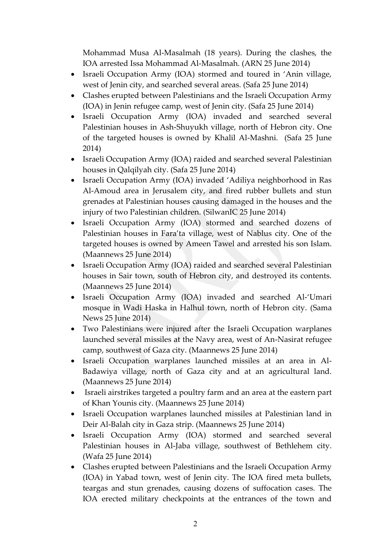Mohammad Musa Al-Masalmah (18 years). During the clashes, the IOA arrested Issa Mohammad Al-Masalmah. (ARN 25 June 2014)

- Israeli Occupation Army (IOA) stormed and toured in 'Anin village, west of Jenin city, and searched several areas. (Safa 25 June 2014)
- Clashes erupted between Palestinians and the Israeli Occupation Army (IOA) in Jenin refugee camp, west of Jenin city. (Safa 25 June 2014)
- Israeli Occupation Army (IOA) invaded and searched several Palestinian houses in Ash-Shuyukh village, north of Hebron city. One of the targeted houses is owned by Khalil Al-Mashni. (Safa 25 June 2014)
- Israeli Occupation Army (IOA) raided and searched several Palestinian houses in Qalqilyah city. (Safa 25 June 2014)
- Israeli Occupation Army (IOA) invaded 'Adiliya neighborhood in Ras Al-Amoud area in Jerusalem city, and fired rubber bullets and stun grenades at Palestinian houses causing damaged in the houses and the injury of two Palestinian children. (SilwanIC 25 June 2014)
- Israeli Occupation Army (IOA) stormed and searched dozens of Palestinian houses in Fara'ta village, west of Nablus city. One of the targeted houses is owned by Ameen Tawel and arrested his son Islam. (Maannews 25 June 2014)
- Israeli Occupation Army (IOA) raided and searched several Palestinian houses in Sair town, south of Hebron city, and destroyed its contents. (Maannews 25 June 2014)
- Israeli Occupation Army (IOA) invaded and searched Al-'Umari mosque in Wadi Haska in Halhul town, north of Hebron city. (Sama News 25 June 2014)
- Two Palestinians were injured after the Israeli Occupation warplanes launched several missiles at the Navy area, west of An-Nasirat refugee camp, southwest of Gaza city. (Maannews 25 June 2014)
- Israeli Occupation warplanes launched missiles at an area in Al-Badawiya village, north of Gaza city and at an agricultural land. (Maannews 25 June 2014)
- Israeli airstrikes targeted a poultry farm and an area at the eastern part of Khan Younis city. (Maannews 25 June 2014)
- Israeli Occupation warplanes launched missiles at Palestinian land in Deir Al-Balah city in Gaza strip. (Maannews 25 June 2014)
- Israeli Occupation Army (IOA) stormed and searched several Palestinian houses in Al-Jaba village, southwest of Bethlehem city. (Wafa 25 June 2014)
- Clashes erupted between Palestinians and the Israeli Occupation Army (IOA) in Yabad town, west of Jenin city. The IOA fired meta bullets, teargas and stun grenades, causing dozens of suffocation cases. The IOA erected military checkpoints at the entrances of the town and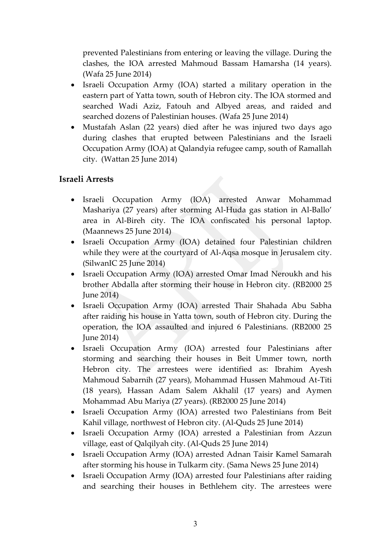prevented Palestinians from entering or leaving the village. During the clashes, the IOA arrested Mahmoud Bassam Hamarsha (14 years). (Wafa 25 June 2014)

- Israeli Occupation Army (IOA) started a military operation in the eastern part of Yatta town, south of Hebron city. The IOA stormed and searched Wadi Aziz, Fatouh and Albyed areas, and raided and searched dozens of Palestinian houses. (Wafa 25 June 2014)
- Mustafah Aslan (22 years) died after he was injured two days ago during clashes that erupted between Palestinians and the Israeli Occupation Army (IOA) at Qalandyia refugee camp, south of Ramallah city. (Wattan 25 June 2014)

#### **Israeli Arrests**

- Israeli Occupation Army (IOA) arrested Anwar Mohammad Mashariya (27 years) after storming Al-Huda gas station in Al-Ballo' area in Al-Bireh city. The IOA confiscated his personal laptop. (Maannews 25 June 2014)
- Israeli Occupation Army (IOA) detained four Palestinian children while they were at the courtyard of Al-Aqsa mosque in Jerusalem city. (SilwanIC 25 June 2014)
- Israeli Occupation Army (IOA) arrested Omar Imad Neroukh and his brother Abdalla after storming their house in Hebron city. (RB2000 25 June 2014)
- Israeli Occupation Army (IOA) arrested Thair Shahada Abu Sabha after raiding his house in Yatta town, south of Hebron city. During the operation, the IOA assaulted and injured 6 Palestinians. (RB2000 25 June 2014)
- Israeli Occupation Army (IOA) arrested four Palestinians after storming and searching their houses in Beit Ummer town, north Hebron city. The arrestees were identified as: Ibrahim Ayesh Mahmoud Sabarnih (27 years), Mohammad Hussen Mahmoud At-Titi (18 years), Hassan Adam Salem Akhalil (17 years) and Aymen Mohammad Abu Mariya (27 years). (RB2000 25 June 2014)
- Israeli Occupation Army (IOA) arrested two Palestinians from Beit Kahil village, northwest of Hebron city. (Al-Quds 25 June 2014)
- Israeli Occupation Army (IOA) arrested a Palestinian from Azzun village, east of Qalqilyah city. (Al-Quds 25 June 2014)
- Israeli Occupation Army (IOA) arrested Adnan Taisir Kamel Samarah after storming his house in Tulkarm city. (Sama News 25 June 2014)
- Israeli Occupation Army (IOA) arrested four Palestinians after raiding and searching their houses in Bethlehem city. The arrestees were